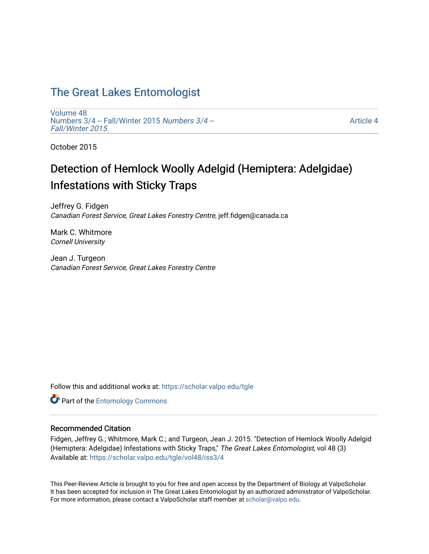## [The Great Lakes Entomologist](https://scholar.valpo.edu/tgle)

[Volume 48](https://scholar.valpo.edu/tgle/vol48) [Numbers 3/4 -- Fall/Winter 2015](https://scholar.valpo.edu/tgle/vol48/iss3) Numbers 3/4 -- [Fall/Winter 2015](https://scholar.valpo.edu/tgle/vol48/iss3) 

[Article 4](https://scholar.valpo.edu/tgle/vol48/iss3/4) 

October 2015

# Detection of Hemlock Woolly Adelgid (Hemiptera: Adelgidae) Infestations with Sticky Traps

Jeffrey G. Fidgen Canadian Forest Service, Great Lakes Forestry Centre, jeff.fidgen@canada.ca

Mark C. Whitmore Cornell University

Jean J. Turgeon Canadian Forest Service, Great Lakes Forestry Centre

Follow this and additional works at: [https://scholar.valpo.edu/tgle](https://scholar.valpo.edu/tgle?utm_source=scholar.valpo.edu%2Ftgle%2Fvol48%2Fiss3%2F4&utm_medium=PDF&utm_campaign=PDFCoverPages) 

**Part of the Entomology Commons** 

### Recommended Citation

Fidgen, Jeffrey G.; Whitmore, Mark C.; and Turgeon, Jean J. 2015. "Detection of Hemlock Woolly Adelgid (Hemiptera: Adelgidae) Infestations with Sticky Traps," The Great Lakes Entomologist, vol 48 (3) Available at: [https://scholar.valpo.edu/tgle/vol48/iss3/4](https://scholar.valpo.edu/tgle/vol48/iss3/4?utm_source=scholar.valpo.edu%2Ftgle%2Fvol48%2Fiss3%2F4&utm_medium=PDF&utm_campaign=PDFCoverPages) 

This Peer-Review Article is brought to you for free and open access by the Department of Biology at ValpoScholar. It has been accepted for inclusion in The Great Lakes Entomologist by an authorized administrator of ValpoScholar. For more information, please contact a ValpoScholar staff member at [scholar@valpo.edu](mailto:scholar@valpo.edu).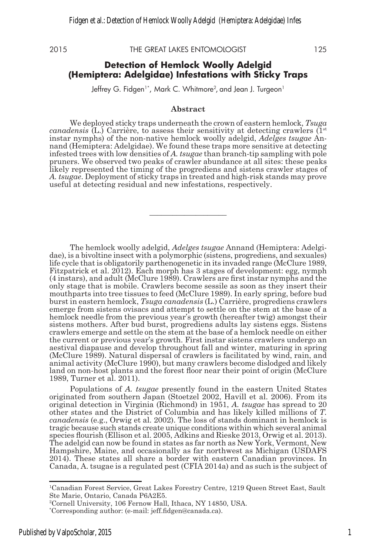2015 THE GREAT LAKES ENTOMOLOGIST 125

#### **Detection of Hemlock Woolly Adelgid (Hemiptera: Adelgidae) Infestations with Sticky Traps**

Jeffrey G. Fidgen1\*, Mark C. Whitmore<sup>2</sup>, and Jean J. Turgeon1

#### **Abstract**

We deployed sticky traps underneath the crown of eastern hemlock, *Tsuga canadensis* (L.) Carrière, to assess their sensitivity at detecting crawlers  $(1^{\text{st}})$ instar nymphs) of the non-native hemlock woolly adelgid, *Adelges tsugae* Annand (Hemiptera: Adelgidae). We found these traps more sensitive at detecting infested trees with low densities of *A. tsugae* than branch-tip sampling with pole pruners. We observed two peaks of crawler abundance at all sites: these peaks likely represented the timing of the progrediens and sistens crawler stages of *A. tsugae*. Deployment of sticky traps in treated and high-risk stands may prove useful at detecting residual and new infestations, respectively.

**\_\_\_\_\_\_\_\_\_\_\_\_\_\_\_\_\_\_\_\_**

The hemlock woolly adelgid, *Adelges tsugae* Annand (Hemiptera: Adelgidae), is a bivoltine insect with a polymorphic (sistens, progrediens, and sexuales) life cycle that is obligatorily parthenogenetic in its invaded range (McClure 1989, Fitzpatrick et al. 2012). Each morph has 3 stages of development: egg, nymph (4 instars), and adult (McClure 1989). Crawlers are first instar nymphs and the only stage that is mobile. Crawlers become sessile as soon as they insert their mouthparts into tree tissues to feed (McClure 1989). In early spring, before bud burst in eastern hemlock, *Tsuga canadensis* (L.) Carrière, progrediens crawlers emerge from sistens ovisacs and attempt to settle on the stem at the base of a hemlock needle from the previous year's growth (hereafter twig) amongst their sistens mothers. After bud burst, progrediens adults lay sistens eggs. Sistens crawlers emerge and settle on the stem at the base of a hemlock needle on either the current or previous year's growth. First instar sistens crawlers undergo an aestival diapause and develop throughout fall and winter, maturing in spring (McClure 1989). Natural dispersal of crawlers is facilitated by wind, rain, and animal activity (McClure 1990), but many crawlers become dislodged and likely land on non-host plants and the forest floor near their point of origin (McClure 1989, Turner et al. 2011).

Populations of *A. tsugae* presently found in the eastern United States originated from southern Japan (Stoetzel 2002, Havill et al. 2006). From its original detection in Virginia (Richmond) in 1951, *A. tsugae* has spread to 20 other states and the District of Columbia and has likely killed millions of *T. canadensis* (e.g., Orwig et al. 2002). The loss of stands dominant in hemlock is tragic because such stands create unique conditions within which several animal species flourish (Ellison et al. 2005, Adkins and Rieske 2013, Orwig et al. 2013). The adelgid can now be found in states as far north as New York, Vermont, New Hampshire, Maine, and occasionally as far northwest as Michigan (USDAFS 2014). These states all share a border with eastern Canadian provinces. In Canada, A. tsugae is a regulated pest (CFIA 2014a) and as such is the subject of

<sup>1</sup> Canadian Forest Service, Great Lakes Forestry Centre, 1219 Queen Street East, Sault Ste Marie, Ontario, Canada P6A2E5.

<sup>2</sup> Cornell University, 106 Fernow Hall, Ithaca, NY 14850, USA.

<sup>\*</sup> Corresponding author: (e-mail: jeff.fidgen@canada.ca).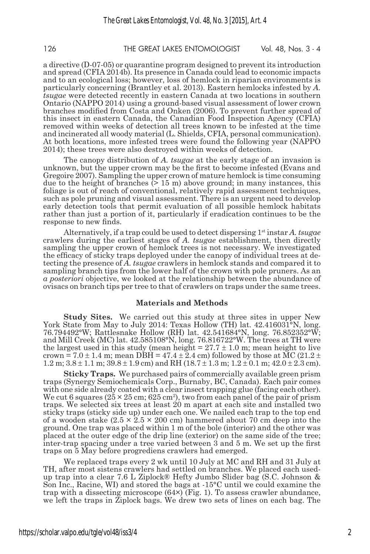126 THE GREAT LAKES ENTOMOLOGIST Vol. 48, Nos. 3 - 4

a directive (D-07-05) or quarantine program designed to prevent its introduction and spread (CFIA 2014b). Its presence in Canada could lead to economic impacts and to an ecological loss; however, loss of hemlock in riparian environments is particularly concerning (Brantley et al. 2013). Eastern hemlocks infested by *A. tsugae* were detected recently in eastern Canada at two locations in southern Ontario (NAPPO 2014) using a ground-based visual assessment of lower crown branches modified from Costa and Onken (2006). To prevent further spread of this insect in eastern Canada, the Canadian Food Inspection Agency (CFIA) removed within weeks of detection all trees known to be infested at the time and incinerated all woody material (L. Shields, CFIA, personal communication). At both locations, more infested trees were found the following year (NAPPO 2014); these trees were also destroyed within weeks of detection.

The canopy distribution of *A. tsugae* at the early stage of an invasion is unknown, but the upper crown may be the first to become infested (Evans and Gregoire 2007). Sampling the upper crown of mature hemlock is time consuming due to the height of branches  $(> 15 \text{ m})$  above ground; in many instances, this foliage is out of reach of conventional, relatively rapid assessment techniques, such as pole pruning and visual assessment. There is an urgent need to develop early detection tools that permit evaluation of all possible hemlock habitats rather than just a portion of it, particularly if eradication continues to be the response to new finds.

Alternatively, if a trap could be used to detect dispersing 1st instar *A. tsugae* crawlers during the earliest stages of *A. tsugae* establishment, then directly sampling the upper crown of hemlock trees is not necessary. We investigated the efficacy of sticky traps deployed under the canopy of individual trees at detecting the presence of *A. tsugae* crawlers in hemlock stands and compared it to sampling branch tips from the lower half of the crown with pole pruners. As an *a posteriori* objective, we looked at the relationship between the abundance of ovisacs on branch tips per tree to that of crawlers on traps under the same trees.

#### **Materials and Methods**

**Study Sites.** We carried out this study at three sites in upper New York State from May to July 2014: Texas Hollow (TH) lat. 42.416031°N, long. 76.794492°W; Rattlesnake Hollow (RH) lat. 42.541684°N, long. 76.852352°W; and Mill Creek (MC) lat. 42.585108°N, long. 76.816722°W. The trees at TH were the largest used in this study (mean height  $= 27.7 \pm 1.0$  m; mean height to live crown = 7.0  $\pm$  1.4 m; mean DBH = 47.4  $\pm$  2.4 cm) followed by those at MC (21.2  $\pm$ 1.2 m;  $3.8 \pm 1.1$  m;  $39.8 \pm 1.9$  cm) and RH  $(18.7 \pm 1.3$  m;  $1.2 \pm 0.1$  m;  $42.0 \pm 2.3$  cm).

**Sticky Traps.** We purchased pairs of commercially available green prism traps (Synergy Semiochemicals Corp., Burnaby, BC, Canada). Each pair comes with one side already coated with a clear insect trapping glue (facing each other). We cut 6 squares  $(25 \times 25 \text{ cm}; 625 \text{ cm}^2)$ , two from each panel of the pair of prism traps. We selected six trees at least 20 m apart at each site and installed two sticky traps (sticky side up) under each one. We nailed each trap to the top end of a wooden stake  $(2.5 \times 2.5 \times 200 \text{ cm})$  hammered about 70 cm deep into the ground. One trap was placed within 1 m of the bole (interior) and the other was placed at the outer edge of the drip line (exterior) on the same side of the tree; inter-trap spacing under a tree varied between 3 and 5 m. We set up the first traps on 5 May before progrediens crawlers had emerged.

We replaced traps every 2 wk until 10 July at MC and RH and 31 July at TH, after most sistens crawlers had settled on branches. We placed each usedup trap into a clear 7.6 L Ziplock® Hefty Jumbo Slider bag (S.C. Johnson & Son Inc., Racine, WI) and stored the bags at -15°C until we could examine the trap with a dissecting microscope  $(64\times)$  (Fig. 1). To assess crawler abundance, we left the traps in Ziplock bags. We drew two sets of lines on each bag. The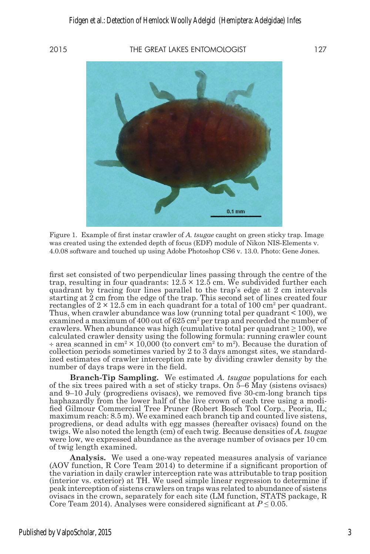#### 2015 THE GREAT LAKES ENTOMOLOGIST 127

 $0.1$  mm

Figure 1. Example of first instar crawler of *A. tsugae* caught on green sticky trap. Image was created using the extended depth of focus (EDF) module of Nikon NIS-Elements v. 4.0.08 software and touched up using Adobe Photoshop CS6 v. 13.0. Photo: Gene Jones.

first set consisted of two perpendicular lines passing through the centre of the trap, resulting in four quadrants:  $12.5 \times 12.5$  cm. We subdivided further each quadrant by tracing four lines parallel to the trap's edge at 2 cm intervals starting at 2 cm from the edge of the trap. This second set of lines created four rectangles of  $2 \times 12.5$  cm in each quadrant for a total of 100 cm<sup>2</sup> per quadrant. Thus, when crawler abundance was low (running total per quadrant  $\leq 100$ ), we examined a maximum of  $400$  out of  $625 \text{ cm}^2$  per trap and recorded the number of crawlers. When abundance was high (cumulative total per quadrant  $\geq 100$ ), we calculated crawler density using the following formula: running crawler count  $\div$  area scanned in cm<sup>2</sup>  $\times$  10,000 (to convert cm<sup>2</sup> to m<sup>2</sup>). Because the duration of collection periods sometimes varied by 2 to 3 days amongst sites, we standardized estimates of crawler interception rate by dividing crawler density by the number of days traps were in the field.

**Branch-Tip Sampling.** We estimated *A. tsugae* populations for each of the six trees paired with a set of sticky traps. On 5–6 May (sistens ovisacs) and 9–10 July (progrediens ovisacs), we removed five 30-cm-long branch tips haphazardly from the lower half of the live crown of each tree using a modified Gilmour Commercial Tree Pruner (Robert Bosch Tool Corp., Peoria, IL; maximum reach: 8.5 m). We examined each branch tip and counted live sistens, progrediens, or dead adults with egg masses (hereafter ovisacs) found on the twigs. We also noted the length (cm) of each twig. Because densities of *A. tsugae* were low, we expressed abundance as the average number of ovisacs per 10 cm of twig length examined.

**Analysis.** We used a one-way repeated measures analysis of variance (AOV function, R Core Team 2014) to determine if a significant proportion of the variation in daily crawler interception rate was attributable to trap position (interior vs. exterior) at TH. We used simple linear regression to determine if peak interception of sistens crawlers on traps was related to abundance of sistens ovisacs in the crown, separately for each site (LM function, STATS package, R Core Team 2014). Analyses were considered significant at  $P \leq 0.05$ .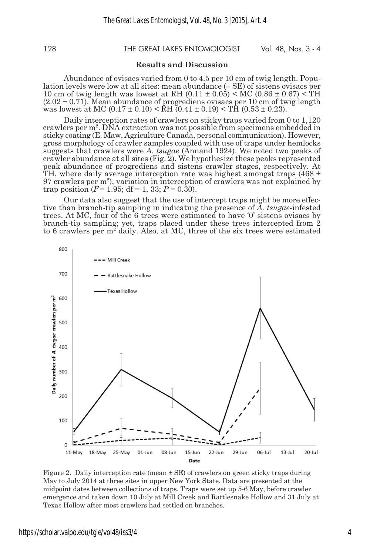#### 128 THE GREAT LAKES ENTOMOLOGIST Vol. 48, Nos. 3 - 4

#### **Results and Discussion**

Abundance of ovisacs varied from 0 to 4.5 per 10 cm of twig length. Popu- lation levels were low at all sites: mean abundance (± SE) of sistens ovisacs per 10 cm of twig length was lowest at RH  $(0.11 \pm 0.05) < MC (0.86 \pm 0.67) < TH$  $(2.02 \pm 0.71)$ . Mean abundance of progrediens ovisacs per 10 cm of twig length was lowest at MC  $(0.17 \pm 0.10) < \text{R}$ H  $(0.41 \pm 0.19) < \text{T}$ H  $(0.53 \pm 0.23)$ .

Daily interception rates of crawlers on sticky traps varied from 0 to 1,120 crawlers per m2 . DNA extraction was not possible from specimens embedded in sticky coating (E. Maw, Agriculture Canada, personal communication). However, gross morphology of crawler samples coupled with use of traps under hemlocks suggests that crawlers were *A. tsugae* (Annand 1924). We noted two peaks of crawler abundance at all sites (Fig. 2). We hypothesize these peaks represented peak abundance of progrediens and sistens crawler stages, respectively. At TH, where daily average interception rate was highest amongst traps (468  $\pm$ 97 crawlers per m2 ), variation in interception of crawlers was not explained by trap position  $(F=1.95; df=1, 33; P=0.30)$ .

Our data also suggest that the use of intercept traps might be more effective than branch-tip sampling in indicating the presence of *A. tsugae*-infested trees. At MC, four of the 6 trees were estimated to have '0' sistens ovisacs by branch-tip sampling; yet, traps placed under these trees intercepted from 2 to 6 crawlers per m<sup>2</sup> daily. Also, at MC, three of the six trees were estimated



Figure 2. Daily interception rate (mean ± SE) of crawlers on green sticky traps during May to July 2014 at three sites in upper New York State. Data are presented at the midpoint dates between collections of traps. Traps were set up 5-6 May, before crawler emergence and taken down 10 July at Mill Creek and Rattlesnake Hollow and 31 July at Texas Hollow after most crawlers had settled on branches.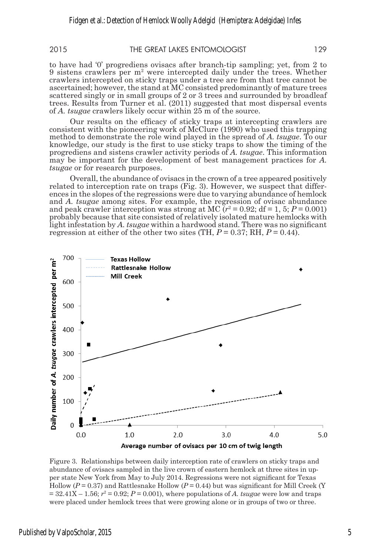2015 THE GREAT LAKES ENTOMOLOGIST 129

to have had '0' progrediens ovisacs after branch-tip sampling; yet, from 2 to 9 sistens crawlers per m2 were intercepted daily under the trees. Whether crawlers intercepted on sticky traps under a tree are from that tree cannot be ascertained; however, the stand at MC consisted predominantly of mature trees scattered singly or in small groups of 2 or 3 trees and surrounded by broadleaf trees. Results from Turner et al. (2011) suggested that most dispersal events of *A. tsugae* crawlers likely occur within 25 m of the source.

Our results on the efficacy of sticky traps at intercepting crawlers are consistent with the pioneering work of McClure (1990) who used this trapping method to demonstrate the role wind played in the spread of *A. tsugae*. To our knowledge, our study is the first to use sticky traps to show the timing of the progrediens and sistens crawler activity periods of *A. tsugae*. This information may be important for the development of best management practices for *A. tsugae* or for research purposes.

Overall, the abundance of ovisacs in the crown of a tree appeared positively related to interception rate on traps (Fig. 3). However, we suspect that differences in the slopes of the regressions were due to varying abundance of hemlock and *A. tsugae* among sites. For example, the regression of ovisac abundance and peak crawler interception was strong at MC  $(r^2 = 0.92; df = 1, 5; P = 0.001)$ probably because that site consisted of relatively isolated mature hemlocks with light infestation by *A. tsugae* within a hardwood stand. There was no significant regression at either of the other two sites (TH,  $P = 0.37$ ; RH,  $P = 0.44$ ).



Figure 3. Relationships between daily interception rate of crawlers on sticky traps and abundance of ovisacs sampled in the live crown of eastern hemlock at three sites in upper state New York from May to July 2014. Regressions were not significant for Texas Hollow ( $P = 0.37$ ) and Rattlesnake Hollow ( $P = 0.44$ ) but was significant for Mill Creek (Y  $= 32.41X - 1.56$ ;  $r^2 = 0.92$ ;  $P = 0.001$ ), where populations of *A. tsugae* were low and traps were placed under hemlock trees that were growing alone or in groups of two or three.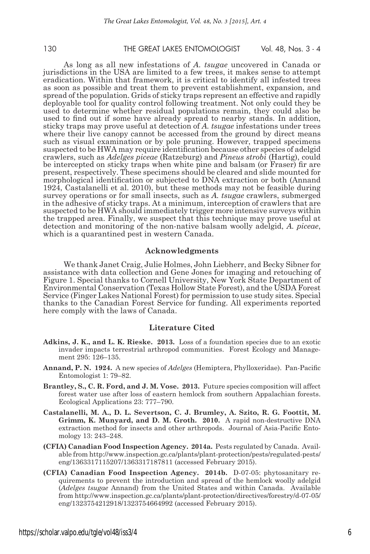130 THE GREAT LAKES ENTOMOLOGIST Vol. 48, Nos. 3 - 4

As long as all new infestations of *A. tsugae* uncovered in Canada or jurisdictions in the USA are limited to a few trees, it makes sense to attempt eradication. Within that framework, it is critical to identify all infested trees as soon as possible and treat them to prevent establishment, expansion, and spread of the population. Grids of sticky traps represent an effective and rapidly deployable tool for quality control following treatment. Not only could they be used to determine whether residual populations remain, they could also be used to find out if some have already spread to nearby stands. In addition, sticky traps may prove useful at detection of *A. tsugae* infestations under trees where their live canopy cannot be accessed from the ground by direct means such as visual examination or by pole pruning. However, trapped specimens suspected to be HWA may require identification because other species of adelgid crawlers, such as *Adelges piceae* (Ratzeburg) and *Pineus strobi* (Hartig), could be intercepted on sticky traps when white pine and balsam (or Fraser) fir are present, respectively. These specimens should be cleared and slide mounted for morphological identification or subjected to DNA extraction or both (Annand 1924, Castalanelli et al. 2010), but these methods may not be feasible during survey operations or for small insects, such as *A. tsugae* crawlers, submerged in the adhesive of sticky traps. At a minimum, interception of crawlers that are suspected to be HWA should immediately trigger more intensive surveys within the trapped area. Finally, we suspect that this technique may prove useful at detection and monitoring of the non-native balsam woolly adelgid, *A. piceae*, which is a quarantined pest in western Canada.

#### **Acknowledgments**

We thank Janet Craig, Julie Holmes, John Liebherr, and Becky Sibner for assistance with data collection and Gene Jones for imaging and retouching of Figure 1. Special thanks to Cornell University, New York State Department of Environmental Conservation (Texas Hollow State Forest), and the USDA Forest Service (Finger Lakes National Forest) for permission to use study sites. Special thanks to the Canadian Forest Service for funding. All experiments reported here comply with the laws of Canada.

#### **Literature Cited**

- **Adkins, J. K., and L. K. Rieske. 2013.** Loss of a foundation species due to an exotic invader impacts terrestrial arthropod communities. Forest Ecology and Management 295: 126–135.
- **Annand, P. N. 1924.** A new species of *Adelges* (Hemiptera, Phylloxeridae). Pan-Pacific Entomologist 1: 79–82.
- **Brantley, S., C. R. Ford, and J. M. Vose. 2013.** Future species composition will affect forest water use after loss of eastern hemlock from southern Appalachian forests. Ecological Applications 23: 777–790.
- **Castalanelli, M. A., D. L. Severtson, C. J. Brumley, A. Szito, R. G. Foottit, M. Grimm, K. Munyard, and D. M. Groth. 2010.** A rapid non-destructive DNA extraction method for insects and other arthropods. Journal of Asia-Pacific Entomology 13: 243–248.
- **(CFIA) Canadian Food Inspection Agency. 2014a.** Pests regulated by Canada. Available from http://www.inspection.gc.ca/plants/plant-protection/pests/regulated-pests/ eng/1363317115207/1363317187811 (accessed February 2015).
- **(CFIA) Canadian Food Inspection Agency. 2014b.** D-07-05: phytosanitary requirements to prevent the introduction and spread of the hemlock woolly adelgid (*Adelges tsugae* Annand) from the United States and within Canada. Available from http://www.inspection.gc.ca/plants/plant-protection/directives/forestry/d-07-05/ eng/1323754212918/1323754664992 (accessed February 2015).